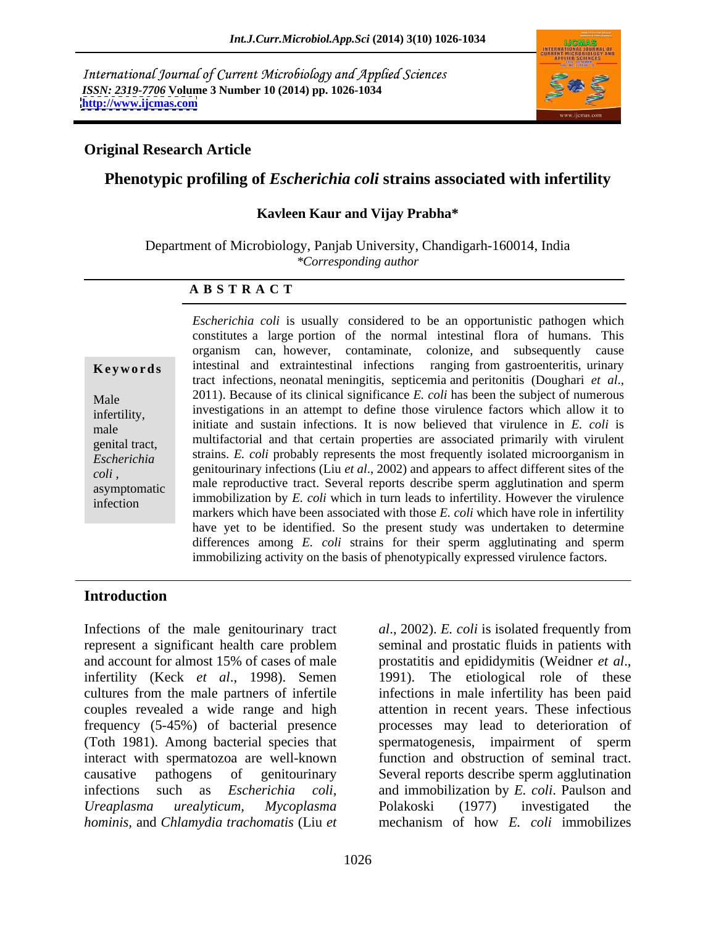International Journal of Current Microbiology and Applied Sciences *ISSN: 2319-7706* **Volume 3 Number 10 (2014) pp. 1026-1034 <http://www.ijcmas.com>**



### **Original Research Article**

### **Phenotypic profiling of** *Escherichia coli* **strains associated with infertility**

### **Kavleen Kaur and Vijay Prabha\***

Department of Microbiology, Panjab University, Chandigarh-160014, India *\*Corresponding author* 

### **A B S T R A C T**

**Keywords** intestinal and extraintestinal infections ranging from gastroenteritis, urinary Male 2011). Because of its clinical significance *E. coli* has been the subject of numerous infertility, investigations in an attempt to define those virtuence factors which allow it to initiate and sustain infections. It is now believed that virulence in *E. coli* is genital tract, multifactorial and that certain properties are associated primarily with virulent **Escherichia** strains. *E. coli* probably represents the most frequently isolated microorganism in *coli*, genitourinary infections (Liu *et al.*, 2002) and appears to arrect different sites of the male reproductive tract. Several reports describe sperm agglutination and sperm immobilization by *E. coli* which in turn leads to infertility. However the virulence *Escherichia coli* is usually considered to be an opportunistic pathogen which constitutes <sup>a</sup> large portion of the normal intestinal flora of humans. This organism can, however, contaminate, colonize, and subsequently cause intestinal and extraintestinal infections ranging from gastroenteritis, urinary tract infections, neonatal meningitis, septicemia and peritonitis (Doughari *et al*., investigations in an attempt to define those virulence factors which allow it to genitourinary infections (Liu *et al*., 2002) and appears to affect different sites of the markers which have been associated with those *E. coli* which have role in infertility have yet to be identified. So the present study was undertaken to determine differences among *E. coli* strains for their sperm agglutinating and sperm immobilizing activity on the basis of phenotypically expressed virulence factors.

### **Introduction**

Infections of the male genitourinary tract *al*., 2002). *E. coli* is isolated frequently from represent a significant health care problem and account for almost 15% of cases of male prostatitis and epididymitis (Weidner *et al*., infertility (Keck *et al*., 1998). Semen 1991). The etiological role of these cultures from the male partners of infertile infections in male infertility has been paid couples revealed a wide range and high attention in recent years. These infectious frequency (5-45%) of bacterial presence processes may lead to deterioration of (Toth 1981). Among bacterial species that spermatogenesis, impairment of sperm interact with spermatozoa are well-known function and obstruction of seminal tract. causative pathogens of genitourinary Several reports describe sperm agglutination infections such as *Escherichia coli,*  and immobilization by *E. coli*. Paulson and *Ureaplasma urealyticum, Mycoplasma hominis,* and *Chlamydia trachomatis* (Liu *et* 

seminal and prostatic fluids in patients with Polakoski (1977) investigated the mechanism of how *E. coli* immobilizes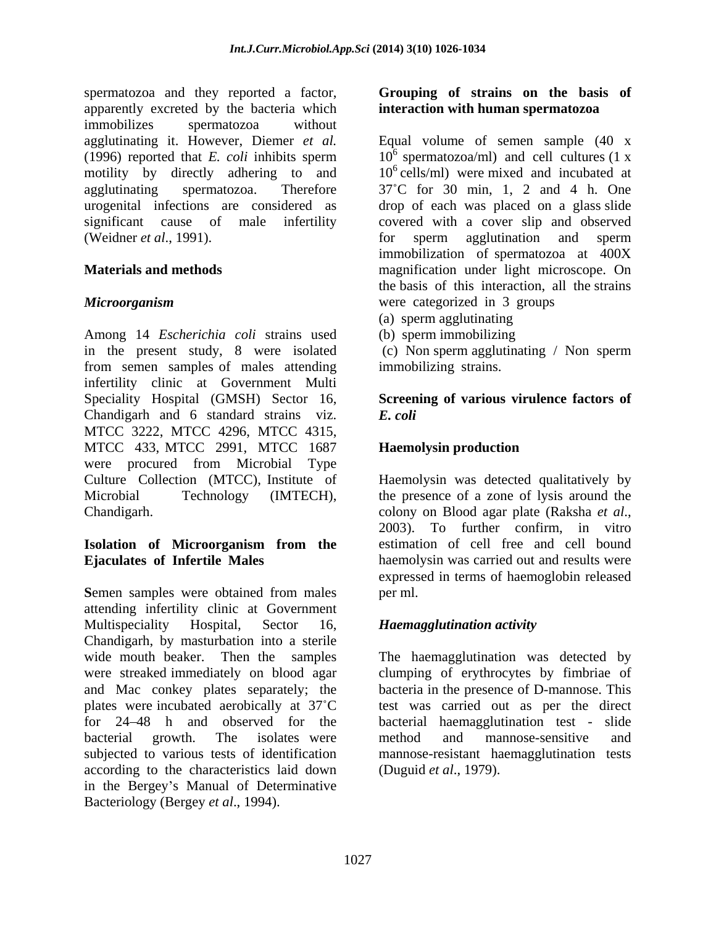spermatozoa and they reported a factor, Grouping of strains on the basis of apparently excreted by the bacteria which immobilizes spermatozoa without motility by directly adhering to and<br>agglutinating spermatozoa. Therefore (Weidner *et al.*, 1991). for sperm agglutination and sperm

Among 14 *Escherichia coli* strains used in the present study, 8 were isolated from semen samples of males attending infertility clinic at Government Multi Speciality Hospital (GMSH) Sector 16, **Screening of various virulence factors of** Chandigarh and 6 standard strains viz. E. coli MTCC 3222, MTCC 4296, MTCC 4315, MTCC 433, MTCC 2991, MTCC 1687 Haemolysin production were procured from Microbial Type Culture Collection (MTCC), Institute of Microbial Technology (IMTECH), the presence of a zone of lysis around the

## **Isolation of Microorganism from the**

Semen samples were obtained from males per ml. attending infertility clinic at Government Multispeciality Hospital, Sector 16, *Haemagglutination activity* Chandigarh, by masturbation into a sterile wide mouth beaker. Then the samples The haemagglutination was detected by were streaked immediately on blood agar clumping of erythrocytes by fimbriae of and Mac conkey plates separately; the plates were incubated aerobically at 37<sup>°</sup>C test was carried out as per the direct for 24 48 h and observed for the bacterial haemagglutination test - slide bacterial growth. The isolates were method and mannose-sensitive and subjected to various tests of identification according to the characteristics laid down in the Bergey's Manual of Determinative **Example 26** (**Context)** and the main of the strains on the basis of **strains** on the basis of **strains** context when the main of  $\alpha$  and  $\alpha$  ( $\beta$  and  $\alpha$ ) ( $\beta$  and  $\alpha$ ) ( $\beta$  and  $\alpha$ ) ( $\beta$  and  $\beta$ ). Therefore,  $\$ 

## **interaction with human spermatozoa**

agglutinating it. However, Diemer *et al.* Equal volume of semen sample (40 x (1996) reported that *E. coli* inhibits sperm  $10^6$  spermatozoa/ml) and cell cultures (1 x agglutinating spermatozoa. Therefore 37 C for 30 min, 1, 2 and 4 h. One urogenital infections are considered as drop of each was placed on a glass slide significant cause of male infertility covered with a cover slip and observed **Materials and methods magnification** under light microscope. On *Microorganism*  $10<sup>6</sup>$  cells/ml) were mixed and incubated at for sperm agglutination and sperm immobilization of spermatozoa at 400X the basis of this interaction, all the strains were categorized in 3 groups

- (a) sperm agglutinating
- (b) sperm immobilizing

(c) Non sperm agglutinating / Non sperm immobilizing strains.

# *E. coli*

## **Haemolysin production**

Chandigarh. Chandigarh. Chandigarh. Chandigarh. Chandigarh. Chandigarh. Chandigarh. Chandigarh. Chandigarh. Chandigarh. Chandigarh. Chandigarh. Chandigarh. Chandigarh. Chandigarh. Chandigarh. Chandigarh. Chandigarh. Chandi **Ejaculates of Infertile Males** haemolysin was carried out and results were Haemolysin was detected qualitatively by colony on Blood agar plate (Raksha *et al*., 2003). To further confirm, in vitro estimation of cell free and cell bound expressed in terms of haemoglobin released per ml.

bacteria in the presence of D-mannose.This method and mannose-sensitive and mannose-resistant haemagglutination tests (Duguid *et al*., 1979).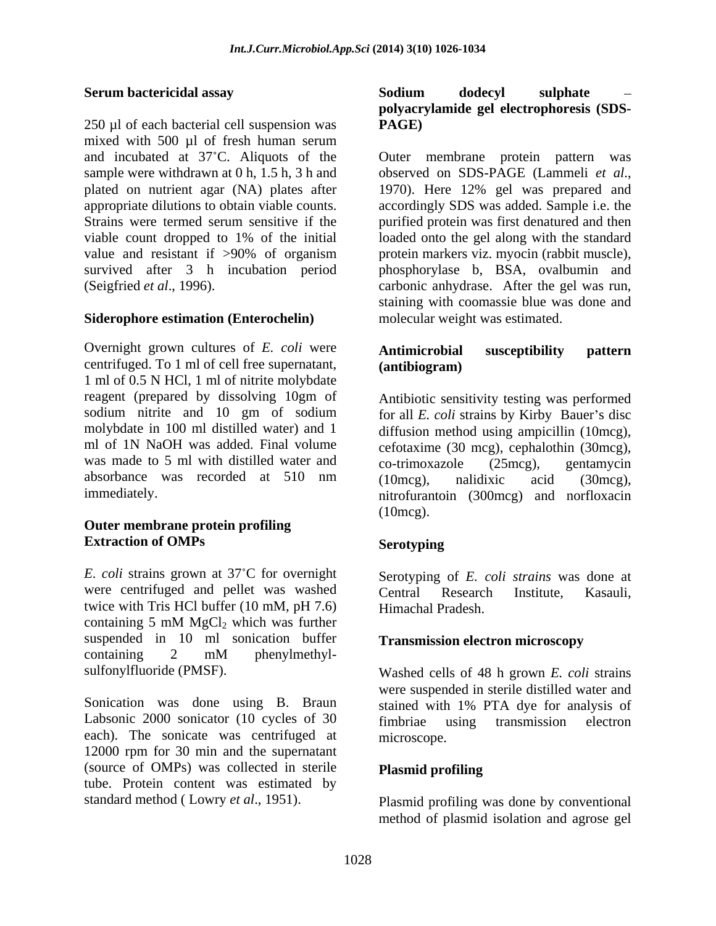250 ul of each bacterial cell suspension was **PAGE**) mixed with 500 µl of fresh human serum sample were withdrawn at 0 h, 1.5 h, 3 h and observed on SDS-PAGE (Lammeli et al., plated on nutrient agar (NA) plates after 1970). Here 12% gel was prepared and survived after 3 h incubation period

### **Siderophore estimation (Enterochelin)**

Overnight grown cultures of *E. coli* were **Antimicrobial susceptibility pattern** centrifuged. To 1 ml of cell free supernatant, 1 ml of 0.5 N HCl, 1 ml of nitrite molybdate reagent (prepared by dissolving 10gm of sodium nitrite and 10 gm of sodium for all *E. coli* strains by Kirby Bauer's disc molybdate in 100 ml distilled water) and 1 diffusion method using ampicillin (10mcg), ml of 1N NaOH was added. Final volume cefotaxime (30 mcg), cephalothin (30mcg), was made to 5 ml with distilled water and co-trimoxazole (25mcg), gentamycin absorbance was recorded at 510 nm (10mcg), nalidixic acid (30mcg),

### **Outer membrane protein profiling Extraction of OMPs**

*E. coli* strains grown at 37 C for overnight Serotyping of *E. coli strains* was done at were centrifuged and pellet was washed central Research Institute. Kasauli. twice with Tris HCl buffer (10 mM, pH 7.6) containing 5 mM  $MgCl<sub>2</sub>$  which was further suspended in 10 ml sonication buffer containing 2 mM phenylmethyl-

Sonication was done using B. Braun stained with 1% PTA dye for analysis of Labsonic 2000 sonicator (10 cycles of 30 fimbriae using transmission electron each). The sonicate was centrifuged at microscope. 12000 rpm for 30 min and the supernatant (source of OMPs) was collected in sterile tube. Protein content was estimated by

### **Serum bactericidal assay Sodium dodecyl sulphate polyacrylamide gel electrophoresis (SDS- PAGE)**

and incubated at 37 C. Aliquots of the Outer membrane protein pattern was appropriate dilutions to obtain viable counts. accordingly SDS was added. Sample i.e. the Strains were termed serum sensitive if the purified protein was first denatured and then viable count dropped to 1% of the initial loaded onto the gel along with the standard value and resistant if >90% of organism protein markers viz. myocin (rabbit muscle), (Seigfried *et al*., 1996). carbonic anhydrase. After the gel was run, observed on SDS-PAGE (Lammeli *et al*., 1970). Here 12% gel was prepared and phosphorylase b, BSA, ovalbumin and staining with coomassie blue was done and molecular weight was estimated.

### **Antimicrobial susceptibility pattern (antibiogram)**

immediately. nitrofurantoin (300mcg) and norfloxacin Antibiotic sensitivity testing was performed co-trimoxazole (25mcg), gentamycin (10mcg), nalidixic acid (30mcg), (10mcg).

### **Serotyping**

Central Research Institute, Kasauli, Himachal Pradesh.

### **Transmission electron microscopy**

sulfonylfluoride (PMSF). Washed cells of 48 h grown *E. coli* strains were suspended in sterile distilled water and fimbriae using transmission electron microscope.

### **Plasmid profiling**

standard method ( Lowry *et al*., 1951). Plasmid profiling was done by conventional method of plasmid isolation and agrose gel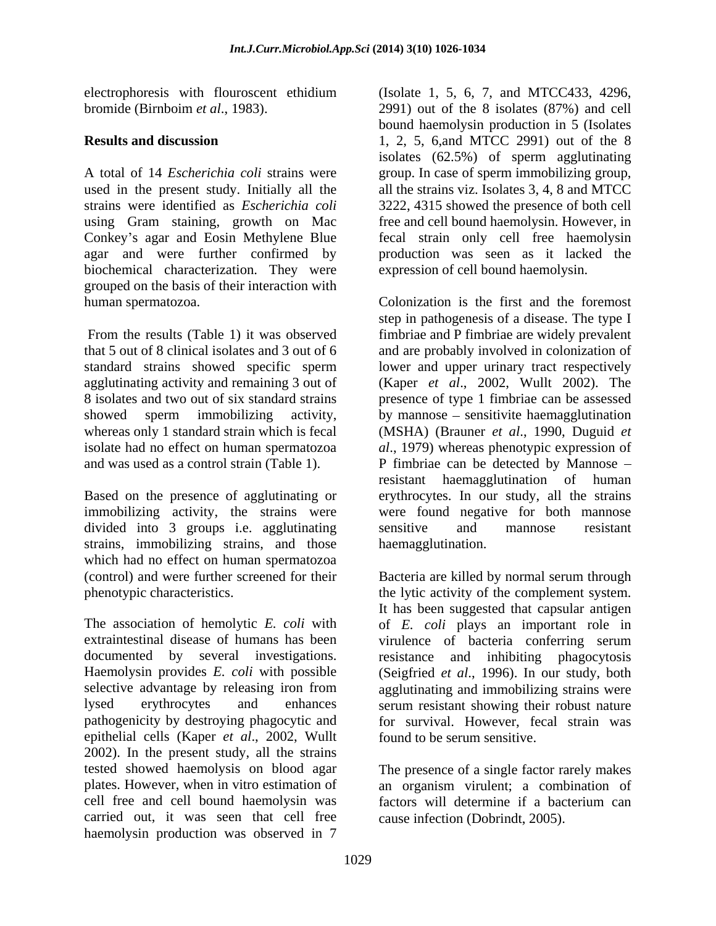strains were identified as *Escherichia coli* using Gram staining, growth on Mac Conkey's agar and Eosin Methylene Blue agar and were further confirmed by biochemical characterization. They were grouped on the basis of their interaction with

immobilizing activity, the strains were divided into 3 groups i.e. agglutinating sensitive and mannose resistant strains, immobilizing strains, and those which had no effect on human spermatozoa

The association of hemolytic *E. coli* with of *E. coli* plays an important role in extraintestinal disease of humans has been virulence of bacteria conferring serum documented by several investigations. resistance and inhibiting phagocytosis Haemolysin provides *E. coli* with possible (Seigfried *et al.*, 1996). In our study, both selective advantage by releasing iron from agglutinating and immobilizing strains were lysed erythrocytes and enhances serum resistant showing their robust nature pathogenicity by destroying phagocytic and epithelial cells (Kaper *et al*., 2002, Wullt 2002). In the present study, all the strains tested showed haemolysis on blood agar The presence of a single factor rarely makes plates. However, when in vitro estimation of cell free and cell bound haemolysin was factors will determine if a bacterium can carried out, it was seen that cell free haemolysin production was observed in 7

electrophoresis with flouroscent ethidium (Isolate 1, 5, 6, 7, and MTCC433, 4296, bromide (Birnboim *et al*., 1983). 2991) out of the 8 isolates (87%) and cell **Results and discussion** 1, 2, 5, 6,and MTCC 2991) out of the 8 A total of 14 *Escherichia coli* strains were group. In case of sperm immobilizing group, used in the present study. Initially all the all the strains viz. Isolates 3, 4, 8 and MTCC bound haemolysin production in 5 (Isolates isolates (62.5%) of sperm agglutinating 3222, 4315 showed the presence of both cell free and cell bound haemolysin. However, in fecal strain only cell free haemolysin production was seen as it lacked the expression of cell bound haemolysin.

human spermatozoa. Colonization is the first and the foremost From the results (Table 1) it was observed fimbriae and P fimbriae are widely prevalent that 5 out of 8 clinical isolates and 3 out of 6 and are probably involved in colonization of standard strains showed specific sperm lower and upper urinary tract respectively agglutinating activity and remaining 3 out of (Kaper *et al*., 2002, Wullt 2002). The 8 isolates and two out of six standard strains presence of type 1 fimbriae can be assessed showed sperm immobilizing activity, by mannose – sensitivite haemagglutination whereas only 1 standard strain which is fecal (MSHA) (Brauner *et al*., 1990, Duguid *et*  isolate had no effect on human spermatozoa *al*., 1979) whereas phenotypic expression of and was used as a control strain (Table 1). P fimbriae can be detected by Mannose – Based on the presence of agglutinating or erythrocytes. In our study, all the strains step in pathogenesis of a disease. The type I resistant haemagglutination of human were found negative for both mannose sensitive and mannose resistant haemagglutination.

(control) and were further screened for their Bacteria are killed by normal serum through phenotypic characteristics. the lytic activity of the complement system. It has been suggested that capsular antigen for survival. However, fecal strain was found to be serum sensitive.

> an organism virulent; a combination of cause infection (Dobrindt, 2005).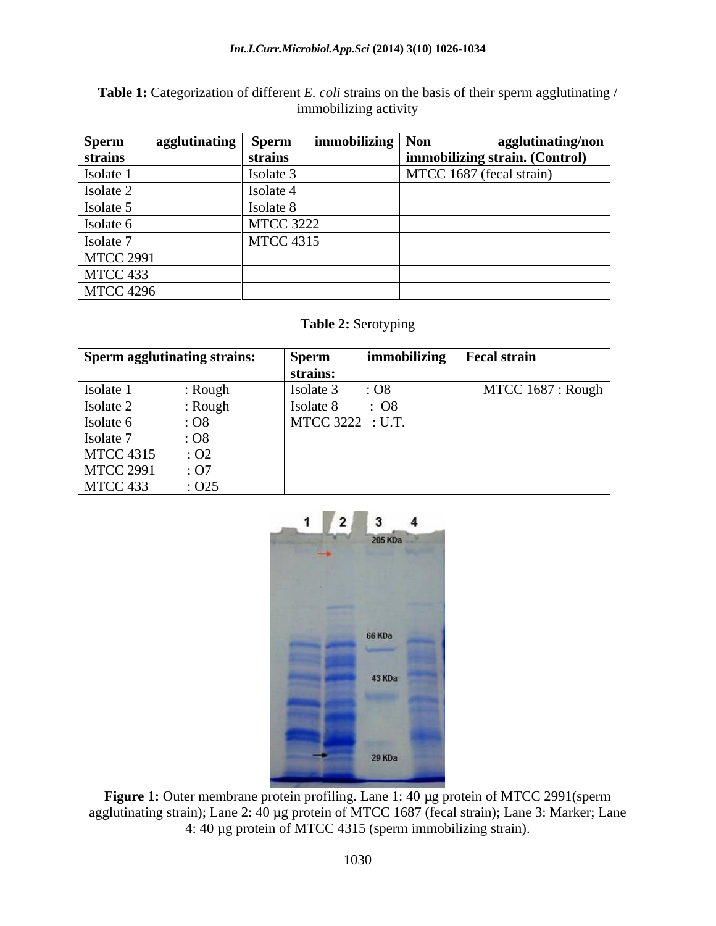**Table 1:** Categorization of different *E. coli* strains on the basis of their sperm agglutinating / immobilizing activity immobilizing activity

| <b>Sperm</b>                                                     | $\lambda$ gglutinating<br>' Sperm |                  | immobilizing   Non | agglutinating/non             |
|------------------------------------------------------------------|-----------------------------------|------------------|--------------------|-------------------------------|
| strains                                                          | strains                           |                  |                    | mmobilizing strain. (Control) |
| Isolate                                                          | Isolate                           |                  |                    | MTCC 1687 (fecal strain)      |
| Isolate 2                                                        | Isolate                           |                  |                    |                               |
| Isolate '                                                        | Isolate                           |                  |                    |                               |
| Isolate 6                                                        |                                   | <b>MTCC 3222</b> |                    |                               |
| Isolate                                                          |                                   | <b>MTCC 4315</b> |                    |                               |
| the control of the control of the control of<br><b>MTCC 2991</b> |                                   |                  |                    |                               |
| MTCC 433                                                         |                                   |                  |                    |                               |
| <b>MTCC 4296</b>                                                 |                                   |                  |                    |                               |

### **Table 2:** Serotyping

| Sperm agglutinating strains: |                 | <b>Sperm</b>     | <i>immobilizing</i> | <b>Fecal strain</b>      |
|------------------------------|-----------------|------------------|---------------------|--------------------------|
|                              |                 | strains:         |                     |                          |
| Isolate 1                    | : Rough         | Isolate ?        | : O8                | MTCC $1687 : Rough \,  $ |
| Isolate 2                    | : Rough         | Isolate 8        | $\therefore$ O8     |                          |
| Isolate 6                    | $:$ O8          | MTCC 3222 : U.T. |                     |                          |
| Isolate 7                    | $\therefore$ O8 |                  |                     |                          |
| <b>MTCC 4315</b>             | .02             |                  |                     |                          |
| <b>MTCC 2991</b>             | : O7            |                  |                     |                          |
| MTCC 433                     | :025            |                  |                     |                          |



Figure 1: Outer membrane protein profiling. Lane 1: 40 µg protein of MTCC 2991(sperm agglutinating strain); Lane 2: 40 µg protein of MTCC 1687 (fecal strain); Lane 3: Marker; Lane 4: 40 µg protein of MTCC 4315 (sperm immobilizing strain).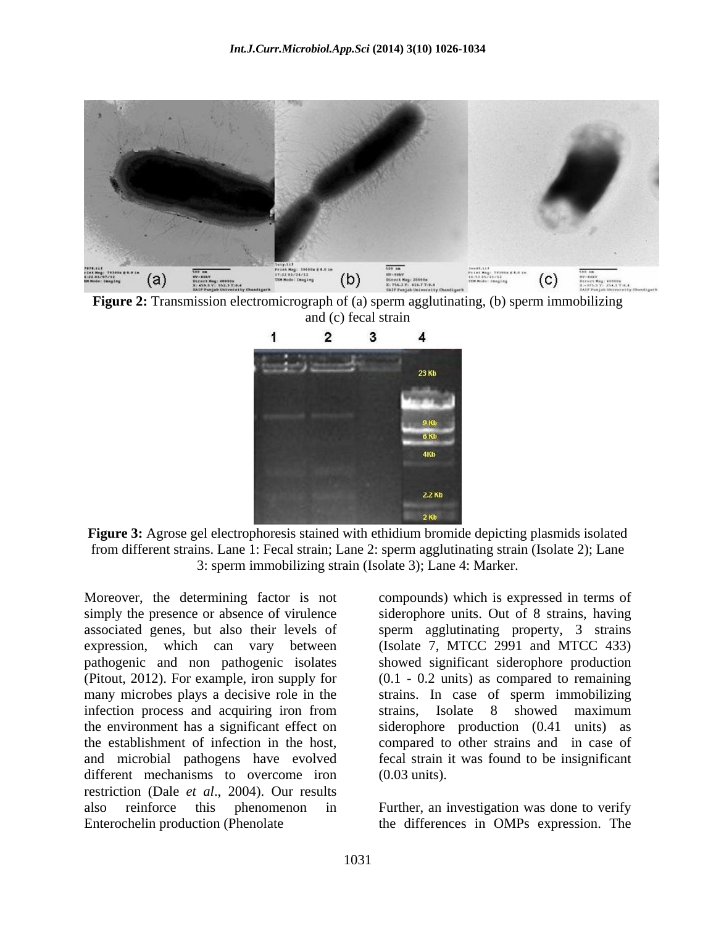

**Figure 2:** Transmission electromicrograph of (a) sperm agglutinating, (b) sperm immobilizing and (c) fecal strain



Figure 3: Agrose gel electrophoresis stained with ethidium bromide depicting plasmids isolated from different strains. Lane 1: Fecal strain; Lane 2: sperm agglutinating strain (Isolate 2); Lane 3: sperm immobilizing strain (Isolate 3); Lane 4: Marker.

Moreover, the determining factor is not compounds) which is expressed in terms of simply the presence or absence of virulence siderophore units. Out of 8 strains, having associated genes, but also their levels of sperm agglutinating property, 3 strains expression, which can vary between (Isolate 7, MTCC 2991 and MTCC 433) pathogenic and non pathogenic isolates showed significant siderophore production (Pitout, 2012). For example, iron supply for (0.1 - 0.2 units) as compared to remaining many microbes plays a decisive role in the strains. In case of sperm immobilizing infection process and acquiring iron from strains, Isolate 8 showed maximum the environment has a significant effect on siderophore production (0.41 units) as the establishment of infection in the host, compared to other strains and in case of and microbial pathogens have evolved fecal strain it was found to be insignificant different mechanisms to overcome iron (0.03 units). restriction (Dale *et al*., 2004). Our results also reinforce this phenomenon in

strains, Isolate 8 showed maximum (0.03 units).

Enterochelin production (Phenolate the differences in OMPs expression. TheFurther, an investigation was done to verify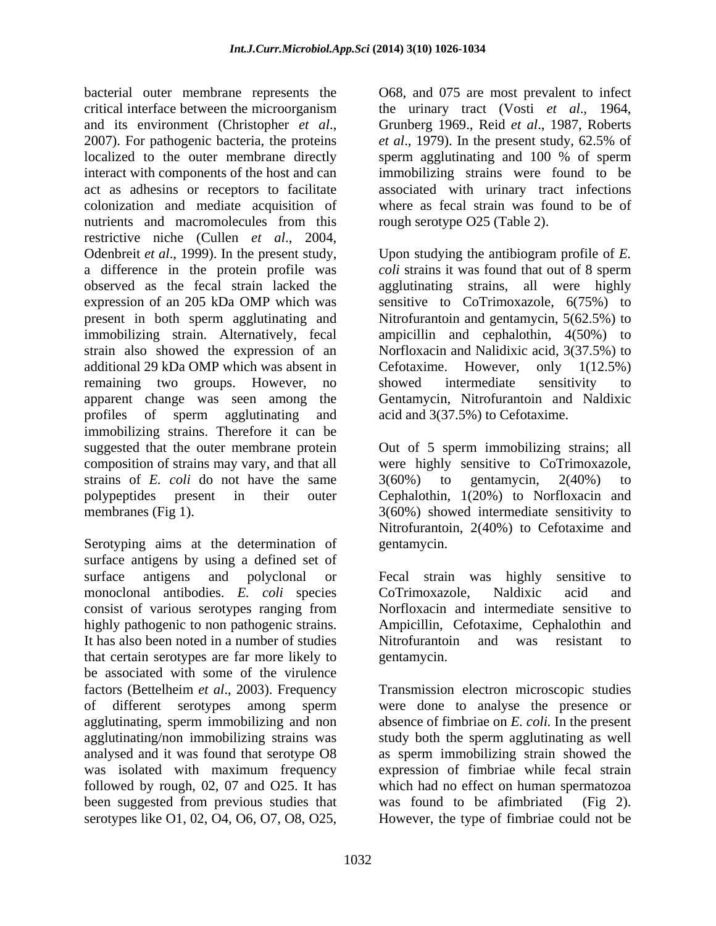bacterial outer membrane represents the  $O68$ , and 075 are most prevalent to infect critical interface between the microorganism between the urinary tract (Vosti *et al.*, 1964, and its environment (Christopher *et al.*, Grunberg 1969., Reid *et al.*, 1987, Roberts 2007). For pathogenic bacteria, the proteins *et al.*, 1979). In the present study, 62.5% of localized to the outer membrane directly sperm agglutinating and 100 % of sperm interact with components of the host and can immobilizing strains were found to be act as adhesins or receptors to facilitate colonization and mediate acquisition of nutrients and macromolecules from this rough serotype O25 (Table 2). restrictive niche (Cullen *et al.*, 2004,<br>Odenbreit *et al.*, 1999). In the present study, Upon studying the antibiogram profile of *E*. a difference in the protein profile was observed as the fecal strain lacked the agglutinating strains, all were highly expression of an 205 kDa OMP which was present in both sperm agglutinating and immobilizing strain. Alternatively, fecal ampicillin and cephalothin, 4(50%) to strain also showed the expression of an Norfloxacin and Nalidixic acid, 3(37.5%) to additional 29 kDa OMP which was absent in Cefotaxime. However, only 1(12.5%) remaining two groups. However, no showed intermediate sensitivity to apparent change was seen among the Gentamycin, Nitrofurantoin and Naldixic profiles of sperm agglutinating and acid and  $3(37.5%)$  to Cefotaxime. immobilizing strains. Therefore it can be suggested that the outer membrane protein Out of 5 sperm immobilizing strains; all composition of strains may vary, and that all were highly sensitive to CoTrimoxazole, strains of *E. coli* do not have the same  $3(60%)$  to gentamycin,  $2(40%)$  to polypeptides present in their outer Cephalothin, 1(20%) to Norfloxacin and membranes (Fig 1). 3(60%) showed intermediate sensitivity to shorted outside the control of the control of the most present to the server of the server of the server of the server of the server of the server of the server of the server of the server of the server of the server of t

Serotyping aims at the determination of gentamycin. surface antigens by using a defined set of surface antigens and polyclonal or Fecal strain was highly sensitive to monoclonal antibodies. *E. coli* species consist of various serotypes ranging from highly pathogenic to non pathogenic strains. Ampicillin, Cefotaxime, Cephalothin and It has also been noted in a number of studies that certain serotypes are far more likely to be associated with some of the virulence factors (Bettelheim *et al*., 2003). Frequency Transmission electron microscopic studies of different serotypes among sperm were done to analyse the presence or agglutinating, sperm immobilizing and non absence of fimbriae on *E. coli.* In the present agglutinating/non immobilizing strains was study both the sperm agglutinating as well analysed and it was found that serotype O8 as sperm immobilizing strain showed the was isolated with maximum frequency expression of fimbriae while fecal strain followed by rough, 02, 07 and O25. It has which had no effect on human spermatozoa been suggested from previous studies that was found to be afimited (Fig 2).

the urinary tract (Vosti *et al*., 1964, Grunberg 1969., Reid *et al*., 1987, Roberts *et al*., 1979). In the present study, 62.5% of sperm agglutinating and 100 % of sperm associated with urinary tract infections where as fecal strain was found to be of rough serotype O25 (Table 2).

Upon studying the antibiogram profile of *E. coli* strains it was found that out of 8 sperm sensitive to CoTrimoxazole, 6(75%) to Nitrofurantoin and gentamycin, 5(62.5%) to Cefotaxime. However, only 1(12.5%) showed intermediate sensitivity to acid and 3(37.5%) to Cefotaxime.

3(60%) to gentamycin, 2(40%) to Nitrofurantoin, 2(40%) to Cefotaxime and gentamycin.

Fecal strain was highly sensitive to CoTrimoxazole, Naldixic acid and Norfloxacin and intermediate sensitive to Nitrofurantoin and was resistant to gentamycin.

was found to be afimbriated However, the type of fimbriae could not be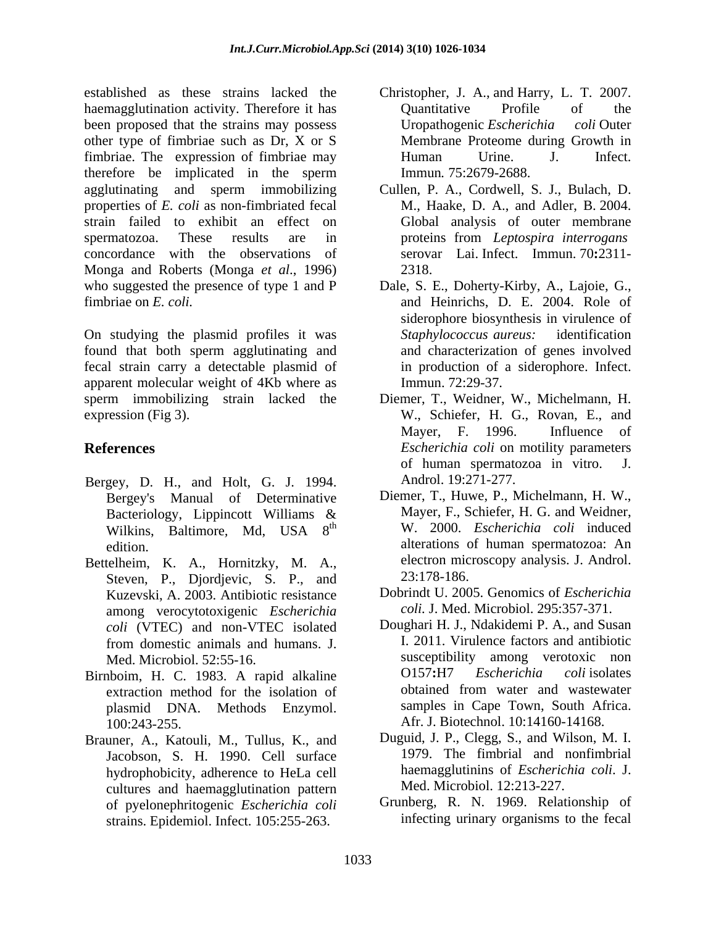established as these strains lacked the Christopher, J. A., and Harry, L. T. 2007. haemagglutination activity. Therefore it has **Constanting Constanting Constanting Constanting Constanting Constanting Constanting Constanting Constanting Constanting Constanting Constanting Constanting Constanting Constant** been proposed that the strains may possess Uropathogenic Escherichia coli Outer other type of fimbriae such as Dr, X or S fimbriae. The expression of fimbriae may human Urine. J. Infect. therefore be implicated in the sperm agglutinating and sperm immobilizing Cullen, P. A., Cordwell, S. J., Bulach, D. properties of *E. coli* as non-fimbriated fecal strain failed to exhibit an effect on Global analysis of outer membrane spermatozoa. These results are in proteins from *Leptospira interrogans* concordance with the observations of Monga and Roberts (Monga *et al*., 1996) who suggested the presence of type 1 and P fimbriae on *E. coli.* and Heinrichs, D. E. 2004. Role of

On studying the plasmid profiles it was Staphylococcus aureus: identification found that both sperm agglutinating and fecal strain carry a detectable plasmid of apparent molecular weight of 4Kb where as sperm immobilizing strain lacked the Diemer, T., Weidner, W., Michelmann, H. expression (Fig 3). W., Schiefer, H. G., Rovan, E., and

- Bergey, D. H., and Holt, G. J. 1994. Bergey's Manual of Determinative Wilkins, Baltimore*,* Md, USA 8
- Bettelheim, K. A., Hornitzky, M. A., electron microscopy analysis. J. Androl.<br>Steven, P., Djordjevic, S. P., and 23:178-186. Kuzevski, A. 2003. Antibiotic resistance among verocytotoxigenic *Escherichia coli* (VTEC) and non-VTEC isolated
- Birnboim, H. C. 1983. A rapid alkaline  $O157:H7$  *Escherichia coli* isolates extraction method for the isolation of obtained from water and wastewater extraction method for the isolation of plasmid DNA. Methods Enzymol. 100:243-255. Afr. J. Biotechnol. 10:14160-14168.
- Brauner, A., Katouli, M., Tullus, K., and Jacobson, S. H. 1990. Cell surface hydrophobicity, adherence to HeLa cell cultures and haemagglutination pattern of pyelonephritogenic *Escherichia coli* strains. Epidemiol. Infect. 105:255-263.
- Quantitative Profile of the Uropathogenic *Escherichia coli* Outer Membrane Proteome during Growth in Human Urine. J. Infect. Immun*.* 75:2679-2688.
- M., Haake, D. A., and Adler, B. 2004. proteins from *Leptospira interrogans* serovar Lai. Infect. Immun. 70**:**2311- 2318.
- Dale, S. E., Doherty-Kirby, A., Lajoie, G., siderophore biosynthesis in virulence of *Staphylococcus aureus:* identification and characterization of genes involved in production of a siderophore. Infect. Immun. 72:29-37.
- **References** *Escherichia coli* on motility parameters Mayer, F. 1996. Influence of of human spermatozoa in vitro. J. Androl. 19:271-277.
	- Bacteriology, Lippincott Williams & Mayer, F., Schiefer, H. G. and Weidner, th W. 2000. *Escherichia coli* induced edition. **alterations** of human spermatozoa: An Diemer, T., Huwe, P., Michelmann, H. W., Mayer, F., Schiefer, H. G. and Weidner, electron microscopy analysis. J. Androl. 23:178-186.
		- Dobrindt U. 2005. Genomics of *Escherichia coli.* J. Med. Microbiol. 295:357-371.
	- from domestic animals and humans. J. Med. Microbiol. 52:55-16. susceptibility among verotoxic non Doughari H. J., Ndakidemi P. A., and Susan I. 2011. Virulence factors and antibiotic O157**:**H7 *Escherichia coli* isolates obtained from water and wastewater samples in Cape Town, South Africa.
		- Duguid, J. P., Clegg, S., and Wilson, M. I. 1979. The fimbrial and nonfimbrial haemagglutinins of *Escherichia coli*. J. Med. Microbiol. 12:213-227.
		- Grunberg, R. N. 1969. Relationship of infecting urinary organisms to the fecal